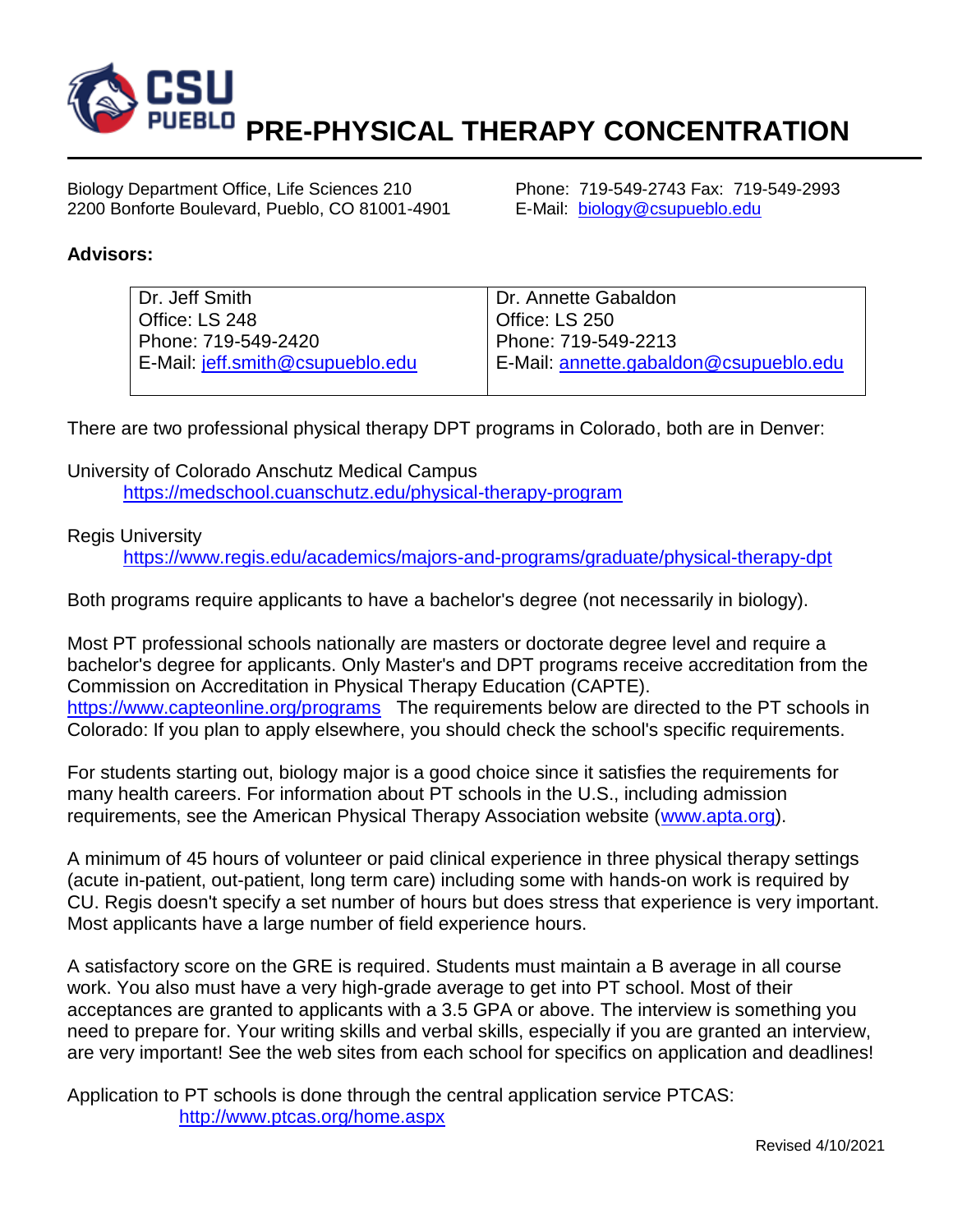

Biology Department Office, Life Sciences 210 Phone: 719-549-2743 Fax: 719-549-2993 2200 Bonforte Boulevard, Pueblo, CO 81001-4901 E-Mail: [biology@csupueblo.edu](mailto:biology@csupueblo.edu)

## **Advisors:**

| Dr. Jeff Smith                   | Dr. Annette Gabaldon                   |
|----------------------------------|----------------------------------------|
| Office: LS 248                   | Office: LS 250                         |
| Phone: 719-549-2420              | Phone: 719-549-2213                    |
| E-Mail: jeff.smith@csupueblo.edu | E-Mail: annette.gabaldon@csupueblo.edu |
|                                  |                                        |

There are two professional physical therapy DPT programs in Colorado, both are in Denver:

University of Colorado Anschutz Medical Campus <https://medschool.cuanschutz.edu/physical-therapy-program>

## Regis University

<https://www.regis.edu/academics/majors-and-programs/graduate/physical-therapy-dpt>

Both programs require applicants to have a bachelor's degree (not necessarily in biology).

Most PT professional schools nationally are masters or doctorate degree level and require a bachelor's degree for applicants. Only Master's and DPT programs receive accreditation from the Commission on Accreditation in Physical Therapy Education (CAPTE). <https://www.capteonline.org/programs>The requirements below are directed to the PT schools in Colorado: If you plan to apply elsewhere, you should check the school's specific requirements.

For students starting out, biology major is a good choice since it satisfies the requirements for many health careers. For information about PT schools in the U.S., including admission requirements, see the American Physical Therapy Association website [\(www.apta.org\)](http://www.apta.org/).

A minimum of 45 hours of volunteer or paid clinical experience in three physical therapy settings (acute in-patient, out-patient, long term care) including some with hands-on work is required by CU. Regis doesn't specify a set number of hours but does stress that experience is very important. Most applicants have a large number of field experience hours.

A satisfactory score on the GRE is required. Students must maintain a B average in all course work. You also must have a very high-grade average to get into PT school. Most of their acceptances are granted to applicants with a 3.5 GPA or above. The interview is something you need to prepare for. Your writing skills and verbal skills, especially if you are granted an interview, are very important! See the web sites from each school for specifics on application and deadlines!

Application to PT schools is done through the central application service PTCAS: <http://www.ptcas.org/home.aspx>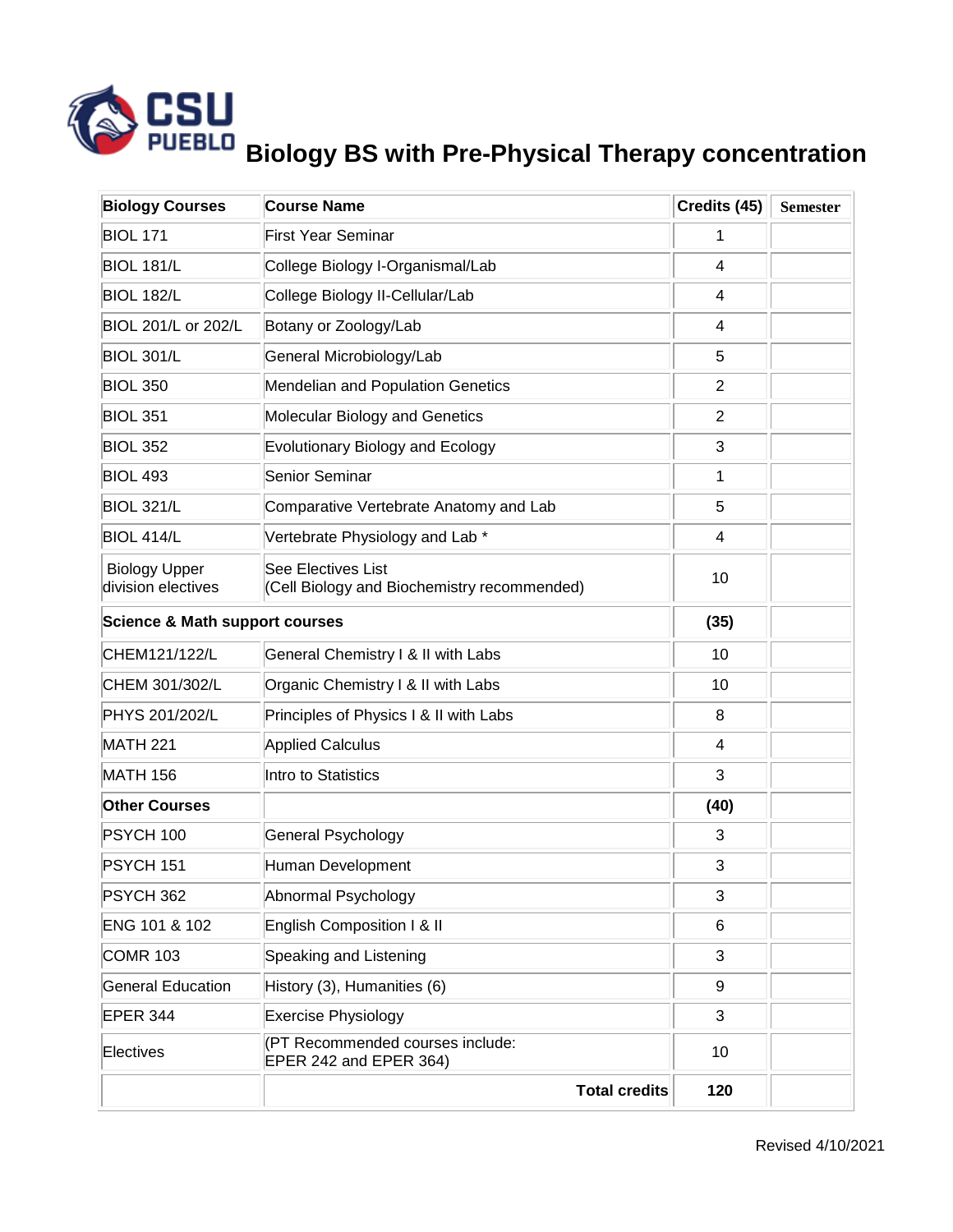

## **Biology BS with Pre-Physical Therapy concentration**

| <b>Biology Courses</b>                     | <b>Course Name</b>                                                | Credits (45)   | <b>Semester</b> |
|--------------------------------------------|-------------------------------------------------------------------|----------------|-----------------|
| <b>BIOL 171</b>                            | <b>First Year Seminar</b>                                         | 1              |                 |
| <b>BIOL 181/L</b>                          | College Biology I-Organismal/Lab                                  | 4              |                 |
| <b>BIOL 182/L</b>                          | College Biology II-Cellular/Lab                                   | 4              |                 |
| BIOL 201/L or 202/L                        | Botany or Zoology/Lab                                             | 4              |                 |
| <b>BIOL 301/L</b>                          | General Microbiology/Lab                                          | 5              |                 |
| <b>BIOL 350</b>                            | Mendelian and Population Genetics                                 | $\overline{2}$ |                 |
| <b>BIOL 351</b>                            | Molecular Biology and Genetics                                    | $\overline{2}$ |                 |
| <b>BIOL 352</b>                            | <b>Evolutionary Biology and Ecology</b>                           | 3              |                 |
| <b>BIOL 493</b>                            | Senior Seminar                                                    | 1              |                 |
| <b>BIOL 321/L</b>                          | Comparative Vertebrate Anatomy and Lab                            | 5              |                 |
| BIOL 414/L                                 | Vertebrate Physiology and Lab *                                   | 4              |                 |
| <b>Biology Upper</b><br>division electives | See Electives List<br>(Cell Biology and Biochemistry recommended) | 10             |                 |
| <b>Science &amp; Math support courses</b>  |                                                                   | (35)           |                 |
| CHEM121/122/L                              | General Chemistry I & II with Labs                                | 10             |                 |
| CHEM 301/302/L                             | Organic Chemistry I & II with Labs                                | 10             |                 |
| PHYS 201/202/L                             | Principles of Physics I & II with Labs                            | 8              |                 |
| <b>MATH 221</b>                            | <b>Applied Calculus</b>                                           | 4              |                 |
| <b>MATH 156</b>                            | Intro to Statistics                                               | 3              |                 |
| <b>Other Courses</b>                       |                                                                   | (40)           |                 |
| <b>PSYCH 100</b>                           | General Psychology                                                | 3              |                 |
| PSYCH 151                                  | Human Development                                                 | 3              |                 |
| PSYCH 362                                  | Abnormal Psychology                                               | 3              |                 |
| ENG 101 & 102                              | English Composition I & II                                        | 6              |                 |
| <b>COMR 103</b>                            | Speaking and Listening                                            | 3              |                 |
| <b>General Education</b>                   | History (3), Humanities (6)                                       | 9              |                 |
| <b>EPER 344</b>                            | <b>Exercise Physiology</b>                                        | 3              |                 |
| Electives                                  | (PT Recommended courses include:<br>EPER 242 and EPER 364)        | 10             |                 |
|                                            | <b>Total credits</b>                                              | 120            |                 |